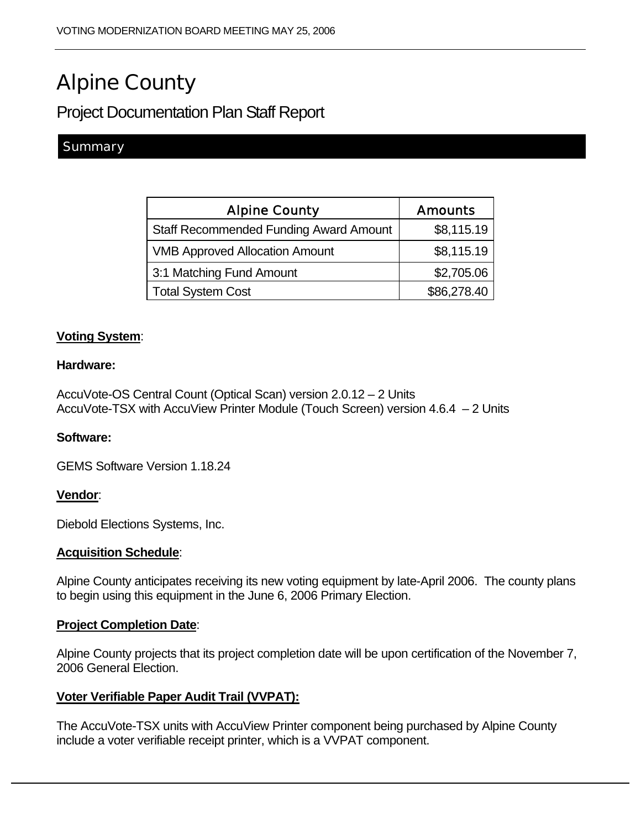# Alpine County

# Project Documentation Plan Staff Report

## **Summary**

| <b>Alpine County</b>                          | <b>Amounts</b> |
|-----------------------------------------------|----------------|
| <b>Staff Recommended Funding Award Amount</b> | \$8,115.19     |
| <b>VMB Approved Allocation Amount</b>         | \$8,115.19     |
| 3:1 Matching Fund Amount                      | \$2,705.06     |
| <b>Total System Cost</b>                      | \$86,278.40    |

### **Voting System**:

#### **Hardware:**

AccuVote-OS Central Count (Optical Scan) version 2.0.12 – 2 Units AccuVote-TSX with AccuView Printer Module (Touch Screen) version 4.6.4 – 2 Units

#### **Software:**

GEMS Software Version 1.18.24

#### **Vendor**:

Diebold Elections Systems, Inc.

#### **Acquisition Schedule**:

Alpine County anticipates receiving its new voting equipment by late-April 2006. The county plans to begin using this equipment in the June 6, 2006 Primary Election.

#### **Project Completion Date**:

Alpine County projects that its project completion date will be upon certification of the November 7, 2006 General Election.

#### **Voter Verifiable Paper Audit Trail (VVPAT):**

The AccuVote-TSX units with AccuView Printer component being purchased by Alpine County include a voter verifiable receipt printer, which is a VVPAT component.